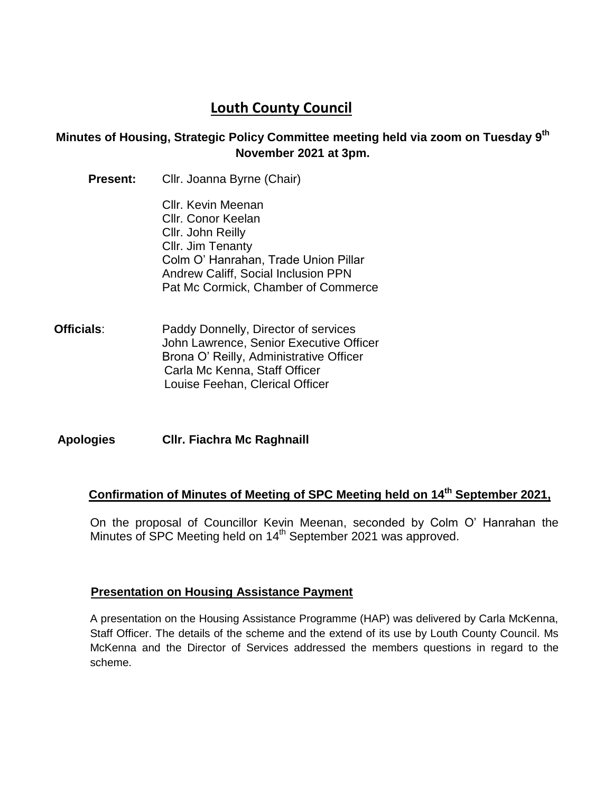# **Louth County Council**

### **Minutes of Housing, Strategic Policy Committee meeting held via zoom on Tuesday 9 th November 2021 at 3pm.**

- **Present:** Cllr. Joanna Byrne (Chair) Cllr. Kevin Meenan Cllr. Conor Keelan Cllr. John Reilly Cllr. Jim Tenanty Colm O' Hanrahan, Trade Union Pillar Andrew Califf, Social Inclusion PPN Pat Mc Cormick, Chamber of Commerce
- **Officials:** Paddy Donnelly, Director of services John Lawrence, Senior Executive Officer Brona O' Reilly, Administrative Officer Carla Mc Kenna, Staff Officer Louise Feehan, Clerical Officer

**Apologies Cllr. Fiachra Mc Raghnaill**

## **Confirmation of Minutes of Meeting of SPC Meeting held on 14th September 2021,**

On the proposal of Councillor Kevin Meenan, seconded by Colm O' Hanrahan the Minutes of SPC Meeting held on 14<sup>th</sup> September 2021 was approved.

#### **Presentation on Housing Assistance Payment**

A presentation on the Housing Assistance Programme (HAP) was delivered by Carla McKenna, Staff Officer. The details of the scheme and the extend of its use by Louth County Council. Ms McKenna and the Director of Services addressed the members questions in regard to the scheme.